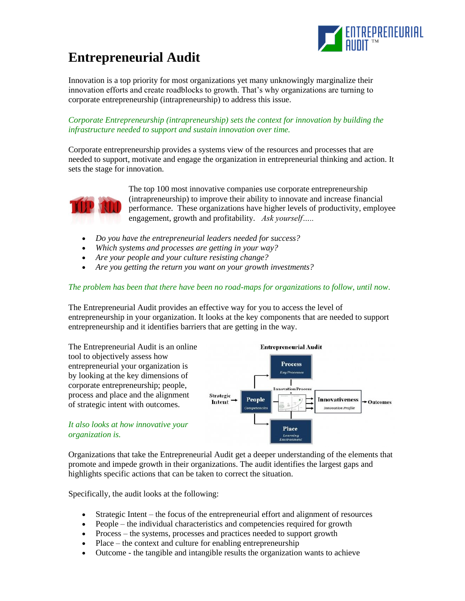

## **Entrepreneurial Audit**

Innovation is a top priority for most organizations yet many unknowingly marginalize their innovation efforts and create roadblocks to growth. That's why organizations are turning to corporate entrepreneurship (intrapreneurship) to address this issue.

*Corporate Entrepreneurship (intrapreneurship) sets the context for innovation by building the infrastructure needed to support and sustain innovation over time.*

Corporate entrepreneurship provides a systems view of the resources and processes that are needed to support, motivate and engage the organization in entrepreneurial thinking and action. It sets the stage for innovation*.*



The top 100 most innovative companies use corporate entrepreneurship (intrapreneurship) to improve their ability to innovate and increase financial performance. These organizations have higher levels of productivity, employee engagement, growth and profitability. *Ask yourself…..*

- *Do you have the entrepreneurial leaders needed for success?*
- *Which systems and processes are getting in your way?*
- *Are your people and your culture resisting change?*
- *Are you getting the return you want on your growth investments?*

## *The problem has been that there have been no road-maps for organizations to follow, until now*.

The Entrepreneurial Audit provides an effective way for you to access the level of entrepreneurship in your organization. It looks at the key components that are needed to support entrepreneurship and it identifies barriers that are getting in the way.



Organizations that take the Entrepreneurial Audit get a deeper understanding of the elements that promote and impede growth in their organizations. The audit identifies the largest gaps and highlights specific actions that can be taken to correct the situation.

Specifically, the audit looks at the following:

- Strategic Intent the focus of the entrepreneurial effort and alignment of resources
- People the individual characteristics and competencies required for growth
- Process the systems, processes and practices needed to support growth
- Place the context and culture for enabling entrepreneurship
- Outcome the tangible and intangible results the organization wants to achieve